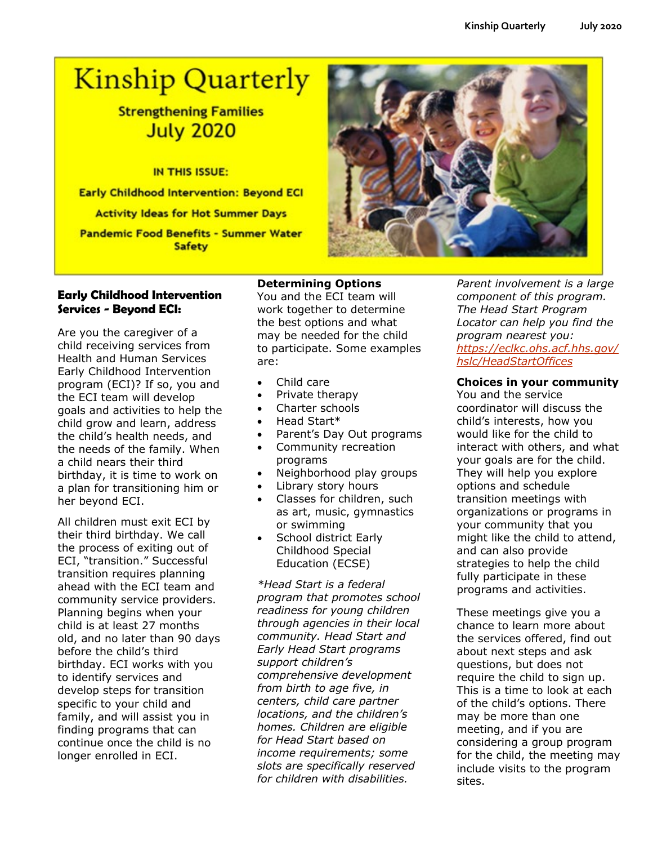# **Kinship Quarterly**

# **Strengthening Families July 2020**

IN THIS ISSUE:

**Early Childhood Intervention: Beyond ECI** 

**Activity Ideas for Hot Summer Days** 

**Pandemic Food Benefits - Summer Water Safety** 

# **Early Childhood Intervention Services - Beyond ECI:**

Are you the caregiver of a child receiving services from Health and Human Services Early Childhood Intervention program (ECI)? If so, you and the ECI team will develop goals and activities to help the child grow and learn, address the child's health needs, and the needs of the family. When a child nears their third birthday, it is time to work on a plan for transitioning him or her beyond ECI.

All children must exit ECI by their third birthday. We call the process of exiting out of ECI, "transition." Successful transition requires planning ahead with the ECI team and community service providers. Planning begins when your child is at least 27 months old, and no later than 90 days before the child's third birthday. ECI works with you to identify services and develop steps for transition specific to your child and family, and will assist you in finding programs that can continue once the child is no longer enrolled in ECI.

**Determining Options** You and the ECI team will work together to determine the best options and what may be needed for the child to participate. Some examples are:

- Child care
- Private therapy
- Charter schools
- Head Start\*
- Parent's Day Out programs
- Community recreation programs
- Neighborhood play groups
- Library story hours
- Classes for children, such as art, music, gymnastics or swimming
- School district Early Childhood Special Education (ECSE)

*\*Head Start is a federal program that promotes school readiness for young children through agencies in their local community. Head Start and Early Head Start programs support children's comprehensive development from birth to age five, in centers, child care partner locations, and the children's homes. Children are eligible for Head Start based on income requirements; some slots are specifically reserved for children with disabilities.* 

*Parent involvement is a large component of this program. The Head Start Program Locator can help you find the program nearest you: [https://eclkc.ohs.acf.hhs.gov/](https://eclkc.ohs.acf.hhs.gov/hslc/HeadStartOffices) [hslc/HeadStartOffices](https://eclkc.ohs.acf.hhs.gov/hslc/HeadStartOffices)*

# **Choices in your community**

You and the service coordinator will discuss the child's interests, how you would like for the child to interact with others, and what your goals are for the child. They will help you explore options and schedule transition meetings with organizations or programs in your community that you might like the child to attend, and can also provide strategies to help the child fully participate in these programs and activities.

These meetings give you a chance to learn more about the services offered, find out about next steps and ask questions, but does not require the child to sign up. This is a time to look at each of the child's options. There may be more than one meeting, and if you are considering a group program for the child, the meeting may include visits to the program sites.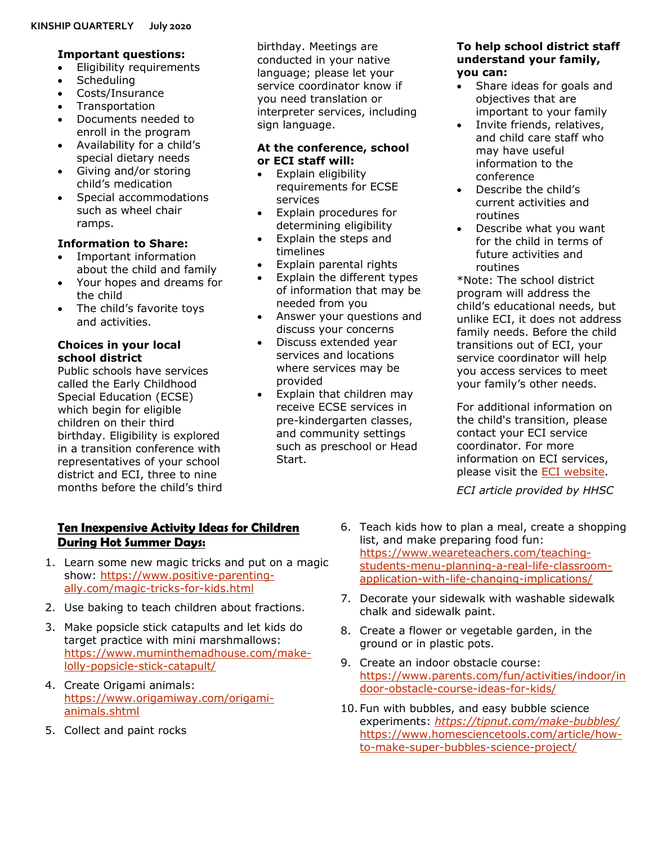# **Important questions:**

- Eligibility requirements
- Scheduling
- Costs/Insurance
- **Transportation**
- Documents needed to enroll in the program
- Availability for a child's special dietary needs
- Giving and/or storing child's medication
- Special accommodations such as wheel chair ramps.

# **Information to Share:**

- Important information about the child and family
- Your hopes and dreams for the child
- The child's favorite toys and activities.

# **Choices in your local school district**

Public schools have services called the Early Childhood Special Education (ECSE) which begin for eligible children on their third birthday. Eligibility is explored in a transition conference with representatives of your school district and ECI, three to nine months before the child's third

## birthday. Meetings are conducted in your native language; please let your service coordinator know if you need translation or interpreter services, including sign language.

# **At the conference, school or ECI staff will:**

- Explain eligibility requirements for ECSE services
- Explain procedures for determining eligibility
- Explain the steps and timelines
- Explain parental rights
- Explain the different types of information that may be needed from you
- Answer your questions and discuss your concerns
- Discuss extended year services and locations where services may be provided
- Explain that children may receive ECSE services in pre-kindergarten classes, and community settings such as preschool or Head Start.

# **To help school district staff understand your family, you can:**

- Share ideas for goals and objectives that are important to your family
- Invite friends, relatives, and child care staff who may have useful information to the conference
- Describe the child's current activities and routines
- Describe what you want for the child in terms of future activities and routines

\*Note: The school district program will address the child's educational needs, but unlike ECI, it does not address family needs. Before the child transitions out of ECI, your service coordinator will help you access services to meet your family's other needs.

For additional information on the child's transition, please contact your ECI service coordinator. For more information on ECI services, please visit the [ECI website.](https://hhs.texas.gov/services/disability/early-childhood-intervention-services)

*ECI article provided by HHSC*

# **Ten Inexpensive Activity Ideas for Children During Hot Summer Days:**

- 1. Learn some new magic tricks and put on a magic show: [https://www.positive-parenting](https://www.positive-parenting-ally.com/magic-tricks-for-kids.html)[ally.com/magic-tricks-for-kids.html](https://www.positive-parenting-ally.com/magic-tricks-for-kids.html)
- 2. Use baking to teach children about fractions.
- 3. Make popsicle stick catapults and let kids do target practice with mini marshmallows: [https://www.muminthemadhouse.com/make](https://www.muminthemadhouse.com/make-lolly-popsicle-stick-catapult/)[lolly-popsicle-stick-catapult/](https://www.muminthemadhouse.com/make-lolly-popsicle-stick-catapult/)
- 4. Create Origami animals: [https://www.origamiway.com/origami](https://www.origamiway.com/origami-animals.shtml)[animals.shtml](https://www.origamiway.com/origami-animals.shtml)
- 5. Collect and paint rocks
- 6. Teach kids how to plan a meal, create a shopping list, and make preparing food fun: [https://www.weareteachers.com/teaching](https://www.weareteachers.com/teaching-students-menu-planning-a-real-life-classroom-application-with-life-changing-implications/)[students-menu-planning-a-real-life-classroom](https://www.weareteachers.com/teaching-students-menu-planning-a-real-life-classroom-application-with-life-changing-implications/)[application-with-life-changing-implications/](https://www.weareteachers.com/teaching-students-menu-planning-a-real-life-classroom-application-with-life-changing-implications/)
- 7. Decorate your sidewalk with washable sidewalk chalk and sidewalk paint.
- 8. Create a flower or vegetable garden, in the ground or in plastic pots.
- 9. Create an indoor obstacle course: [https://www.parents.com/fun/activities/indoor/in](https://www.parents.com/fun/activities/indoor/indoor-obstacle-course-ideas-for-kids/) [door-obstacle-course-ideas-for-kids/](https://www.parents.com/fun/activities/indoor/indoor-obstacle-course-ideas-for-kids/)
- 10. Fun with bubbles, and easy bubble science experiments: *<https://tipnut.com/make-bubbles/>* [https://www.homesciencetools.com/article/how](https://www.homesciencetools.com/article/how-to-make-super-bubbles-science-project/)[to-make-super-bubbles-science-project/](https://www.homesciencetools.com/article/how-to-make-super-bubbles-science-project/)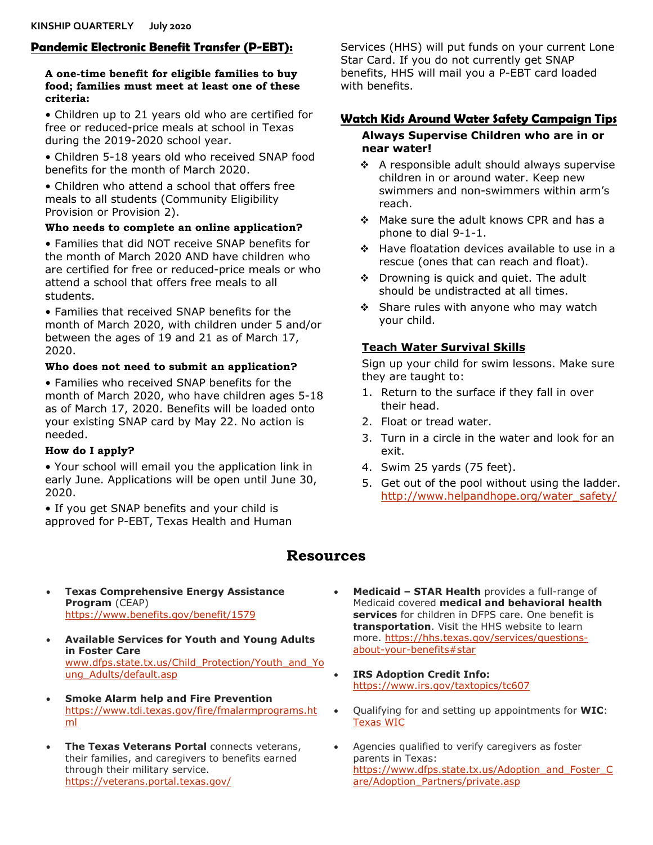# **Pandemic Electronic Benefit Transfer (P-EBT):**

#### **A one-time benefit for eligible families to buy food; families must meet at least one of these criteria:**

• Children up to 21 years old who are certified for free or reduced-price meals at school in Texas during the 2019-2020 school year.

• Children 5-18 years old who received SNAP food benefits for the month of March 2020.

• Children who attend a school that offers free meals to all students (Community Eligibility Provision or Provision 2).

#### **Who needs to complete an online application?**

• Families that did NOT receive SNAP benefits for the month of March 2020 AND have children who are certified for free or reduced-price meals or who attend a school that offers free meals to all students.

• Families that received SNAP benefits for the month of March 2020, with children under 5 and/or between the ages of 19 and 21 as of March 17, 2020.

#### **Who does not need to submit an application?**

• Families who received SNAP benefits for the month of March 2020, who have children ages 5-18 as of March 17, 2020. Benefits will be loaded onto your existing SNAP card by May 22. No action is needed.

# **How do I apply?**

• Your school will email you the application link in early June. Applications will be open until June 30, 2020.

• If you get SNAP benefits and your child is approved for P-EBT, Texas Health and Human

**Resources**

- **Texas Comprehensive Energy Assistance Program** (CEAP) <https://www.benefits.gov/benefit/1579>
- **Available Services for Youth and Young Adults in Foster Care** [www.dfps.state.tx.us/Child\\_Protection/Youth\\_and\\_Yo](http://www.dfps.state.tx.us/Child_Protection/Youth_and_Young_Adults/default.asp) [ung\\_Adults/default.asp](http://www.dfps.state.tx.us/Child_Protection/Youth_and_Young_Adults/default.asp)
- **Smoke Alarm help and Fire Prevention**  [https://www.tdi.texas.gov/fire/fmalarmprograms.ht](https://www.tdi.texas.gov/fire/fmalarmprograms.html) [ml](https://www.tdi.texas.gov/fire/fmalarmprograms.html)
- **The Texas Veterans Portal connects veterans,** their families, and caregivers to benefits earned through their military service. <https://veterans.portal.texas.gov/>

Services (HHS) will put funds on your current Lone Star Card. If you do not currently get SNAP benefits, HHS will mail you a P-EBT card loaded with benefits.

# **Watch Kids Around Water Safety Campaign Tips**

# **Always Supervise Children who are in or near water!**

- $\div$  A responsible adult should always supervise children in or around water. Keep new swimmers and non-swimmers within arm's reach.
- ❖ Make sure the adult knows CPR and has a phone to dial 9-1-1.
- $\div$  Have floatation devices available to use in a rescue (ones that can reach and float).
- $\div$  Drowning is quick and quiet. The adult should be undistracted at all times.
- $\div$  Share rules with anyone who may watch your child.

# **Teach Water Survival Skills**

Sign up your child for swim lessons. Make sure they are taught to:

- 1. Return to the surface if they fall in over their head.
- 2. Float or tread water.
- 3. Turn in a circle in the water and look for an exit.
- 4. Swim 25 yards (75 feet).
- 5. Get out of the pool without using the ladder. [http://www.helpandhope.org/water\\_safety/](http://www.helpandhope.org/water_safety/)
- - **Medicaid – STAR Health** provides a full-range of Medicaid covered **medical and behavioral health services** for children in DFPS care. One benefit is **transportation**. Visit the HHS website to learn more. [https://hhs.texas.gov/services/questions](https://hhs.texas.gov/services/questions-about-your-benefits#star)[about-your-benefits#star](https://hhs.texas.gov/services/questions-about-your-benefits#star)
	- **IRS Adoption Credit Info:**  <https://www.irs.gov/taxtopics/tc607>
	- Qualifying for and setting up appointments for **WIC**: [Texas WIC](https://texaswic.org/)
	- Agencies qualified to verify caregivers as foster parents in Texas: [https://www.dfps.state.tx.us/Adoption\\_and\\_Foster\\_C](https://www.dfps.state.tx.us/Adoption_and_Foster_Care/Adoption_Partners/private.asp) [are/Adoption\\_Partners/private.asp](https://www.dfps.state.tx.us/Adoption_and_Foster_Care/Adoption_Partners/private.asp)